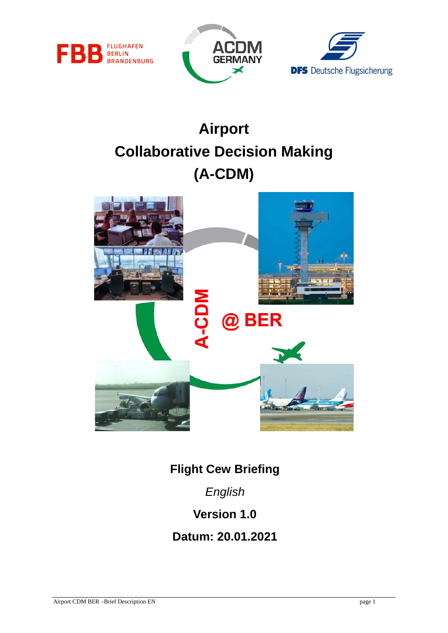





# **Airport Collaborative Decision Making (A-CDM)**



**Flight Cew Briefing**

*English*

**Version 1.0**

**Datum: 20.01.2021**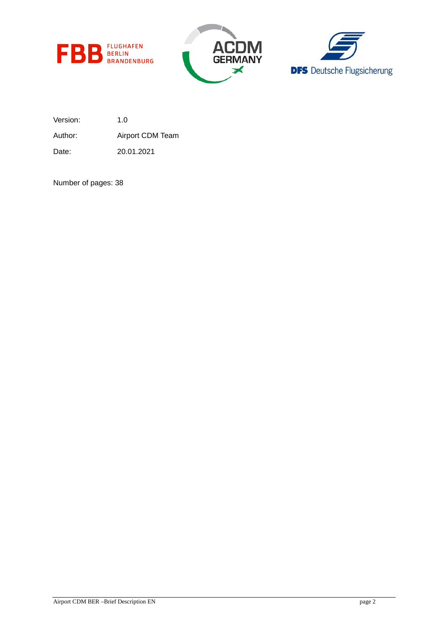





Version: 1.0

Author: Airport CDM Team

Date: 20.01.2021

Number of pages: 38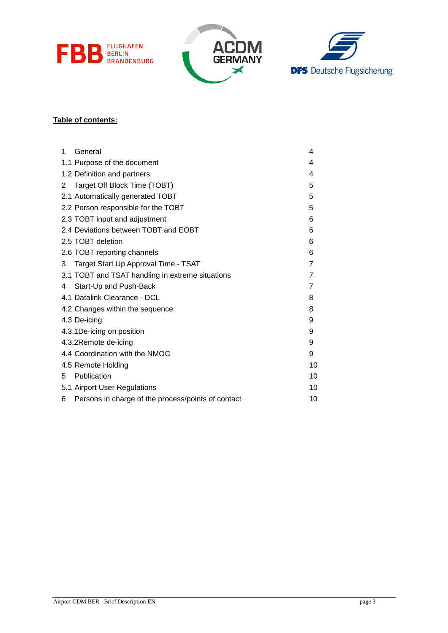





### **Table of contents:**

| 1 | General                                            | 4  |
|---|----------------------------------------------------|----|
|   | 1.1 Purpose of the document                        | 4  |
|   | 1.2 Definition and partners                        | 4  |
| 2 | Target Off Block Time (TOBT)                       | 5  |
|   | 2.1 Automatically generated TOBT                   | 5  |
|   | 2.2 Person responsible for the TOBT                | 5  |
|   | 2.3 TOBT input and adjustment                      | 6  |
|   | 2.4 Deviations between TOBT and EOBT               | 6  |
|   | 2.5 TOBT deletion                                  | 6  |
|   | 2.6 TOBT reporting channels                        | 6  |
| 3 | Target Start Up Approval Time - TSAT               | 7  |
|   | 3.1 TOBT and TSAT handling in extreme situations   | 7  |
| 4 | Start-Up and Push-Back                             | 7  |
|   | 4.1 Datalink Clearance - DCL                       | 8  |
|   | 4.2 Changes within the sequence                    | 8  |
|   | 4.3 De-icing                                       | 9  |
|   | 4.3.1 De-icing on position                         | 9  |
|   | 4.3.2Remote de-icing                               | 9  |
|   | 4.4 Coordination with the NMOC                     | 9  |
|   | 4.5 Remote Holding                                 | 10 |
| 5 | Publication                                        | 10 |
|   | 5.1 Airport User Regulations                       | 10 |
| 6 | Persons in charge of the process/points of contact | 10 |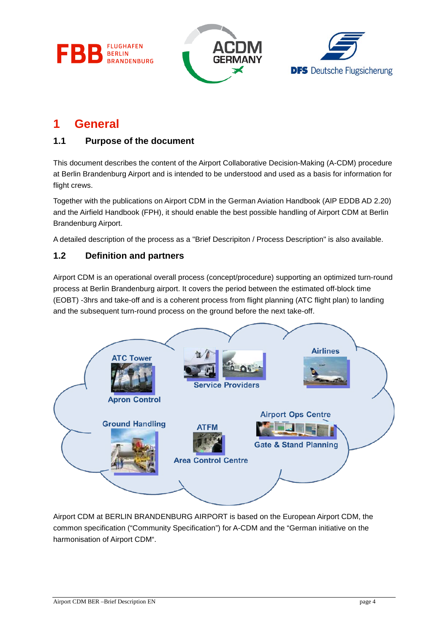





# <span id="page-3-0"></span>**1 General**

### <span id="page-3-1"></span>**1.1 Purpose of the document**

This document describes the content of the Airport Collaborative Decision-Making (A-CDM) procedure at Berlin Brandenburg Airport and is intended to be understood and used as a basis for information for flight crews.

Together with the publications on Airport CDM in the German Aviation Handbook (AIP EDDB AD 2.20) and the Airfield Handbook (FPH), it should enable the best possible handling of Airport CDM at Berlin Brandenburg Airport.

A detailed description of the process as a "Brief Descripiton / Process Description" is also available.

### <span id="page-3-2"></span>**1.2 Definition and partners**

Airport CDM is an operational overall process (concept/procedure) supporting an optimized turn-round process at Berlin Brandenburg airport. It covers the period between the estimated off-block time (EOBT) -3hrs and take-off and is a coherent process from flight planning (ATC flight plan) to landing and the subsequent turn-round process on the ground before the next take-off.



Airport CDM at BERLIN BRANDENBURG AIRPORT is based on the European Airport CDM, the common specification ("Community Specification") for A-CDM and the "German initiative on the harmonisation of Airport CDM".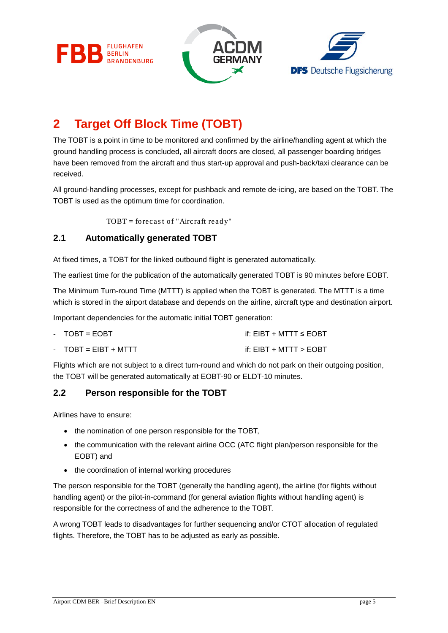





# <span id="page-4-0"></span>**2 Target Off Block Time (TOBT)**

The TOBT is a point in time to be monitored and confirmed by the airline/handling agent at which the ground handling process is concluded, all aircraft doors are closed, all passenger boarding bridges have been removed from the aircraft and thus start-up approval and push-back/taxi clearance can be received.

All ground-handling processes, except for pushback and remote de-icing, are based on the TOBT. The TOBT is used as the optimum time for coordination.

 $TOBT = forecast of "Aircraft ready"$ 

### <span id="page-4-1"></span>**2.1 Automatically generated TOBT**

At fixed times, a TOBT for the linked outbound flight is generated automatically.

The earliest time for the publication of the automatically generated TOBT is 90 minutes before EOBT.

The Minimum Turn-round Time (MTTT) is applied when the TOBT is generated. The MTTT is a time which is stored in the airport database and depends on the airline, aircraft type and destination airport.

Important dependencies for the automatic initial TOBT generation:

| $-TOBT = EOBT$          | if: $EIBT + MTTT \le EOBT$ |
|-------------------------|----------------------------|
| - $TOBT = FIRST + MTTT$ | if: $EIBT + MTTT > EOBT$   |

Flights which are not subject to a direct turn-round and which do not park on their outgoing position,

the TOBT will be generated automatically at EOBT-90 or ELDT-10 minutes.

### <span id="page-4-2"></span>**2.2 Person responsible for the TOBT**

Airlines have to ensure:

- the nomination of one person responsible for the TOBT,
- the communication with the relevant airline OCC (ATC flight plan/person responsible for the EOBT) and
- the coordination of internal working procedures

The person responsible for the TOBT (generally the handling agent), the airline (for flights without handling agent) or the pilot-in-command (for general aviation flights without handling agent) is responsible for the correctness of and the adherence to the TOBT.

A wrong TOBT leads to disadvantages for further sequencing and/or CTOT allocation of regulated flights. Therefore, the TOBT has to be adjusted as early as possible.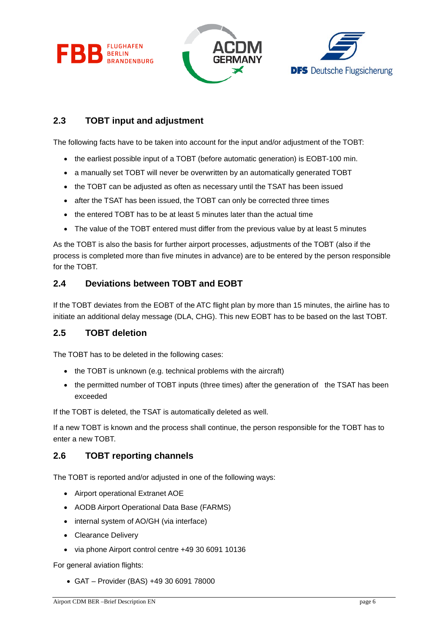





### <span id="page-5-0"></span>**2.3 TOBT input and adjustment**

The following facts have to be taken into account for the input and/or adjustment of the TOBT:

- the earliest possible input of a TOBT (before automatic generation) is EOBT-100 min.
- a manually set TOBT will never be overwritten by an automatically generated TOBT
- the TOBT can be adjusted as often as necessary until the TSAT has been issued
- after the TSAT has been issued, the TOBT can only be corrected three times
- the entered TOBT has to be at least 5 minutes later than the actual time
- The value of the TOBT entered must differ from the previous value by at least 5 minutes

As the TOBT is also the basis for further airport processes, adjustments of the TOBT (also if the process is completed more than five minutes in advance) are to be entered by the person responsible for the TOBT.

### <span id="page-5-1"></span>**2.4 Deviations between TOBT and EOBT**

If the TOBT deviates from the EOBT of the ATC flight plan by more than 15 minutes, the airline has to initiate an additional delay message (DLA, CHG). This new EOBT has to be based on the last TOBT.

### <span id="page-5-2"></span>**2.5 TOBT deletion**

The TOBT has to be deleted in the following cases:

- the TOBT is unknown (e.g. technical problems with the aircraft)
- the permitted number of TOBT inputs (three times) after the generation of the TSAT has been exceeded

If the TOBT is deleted, the TSAT is automatically deleted as well.

If a new TOBT is known and the process shall continue, the person responsible for the TOBT has to enter a new TOBT.

### <span id="page-5-3"></span>**2.6 TOBT reporting channels**

The TOBT is reported and/or adjusted in one of the following ways:

- Airport operational Extranet AOE
- AODB Airport Operational Data Base (FARMS)
- internal system of AO/GH (via interface)
- Clearance Delivery
- via phone Airport control centre +49 30 6091 10136

For general aviation flights:

• GAT – Provider (BAS) +49 30 6091 78000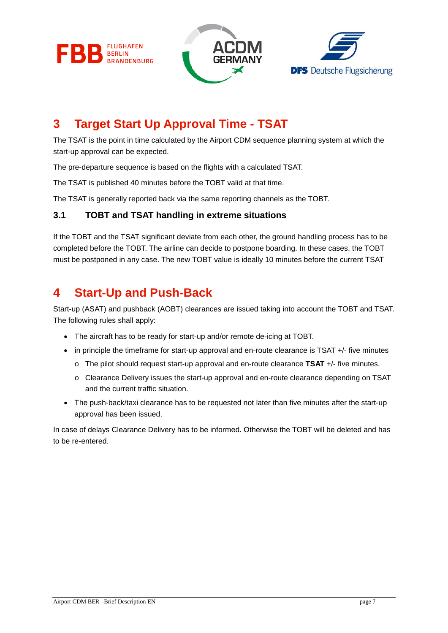





# <span id="page-6-0"></span>**3 Target Start Up Approval Time - TSAT**

The TSAT is the point in time calculated by the Airport CDM sequence planning system at which the start-up approval can be expected.

The pre-departure sequence is based on the flights with a calculated TSAT.

The TSAT is published 40 minutes before the TOBT valid at that time.

The TSAT is generally reported back via the same reporting channels as the TOBT.

### <span id="page-6-1"></span>**3.1 TOBT and TSAT handling in extreme situations**

If the TOBT and the TSAT significant deviate from each other, the ground handling process has to be completed before the TOBT. The airline can decide to postpone boarding. In these cases, the TOBT must be postponed in any case. The new TOBT value is ideally 10 minutes before the current TSAT

# <span id="page-6-2"></span>**4 Start-Up and Push-Back**

Start-up (ASAT) and pushback (AOBT) clearances are issued taking into account the TOBT and TSAT. The following rules shall apply:

- The aircraft has to be ready for start-up and/or remote de-icing at TOBT.
- in principle the timeframe for start-up approval and en-route clearance is TSAT +/- five minutes
	- o The pilot should request start-up approval and en-route clearance **TSAT** +/- five minutes.
	- o Clearance Delivery issues the start-up approval and en-route clearance depending on TSAT and the current traffic situation.
- The push-back/taxi clearance has to be requested not later than five minutes after the start-up approval has been issued.

In case of delays Clearance Delivery has to be informed. Otherwise the TOBT will be deleted and has to be re-entered.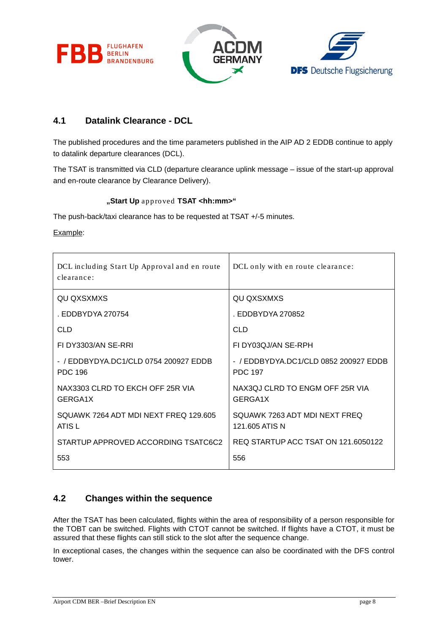**FLUGHAFEN** FR **BERLIN BRANDENBURG** 





### <span id="page-7-0"></span>**4.1 Datalink Clearance - DCL**

The published procedures and the time parameters published in the AIP AD 2 EDDB continue to apply to datalink departure clearances (DCL).

The TSAT is transmitted via CLD (departure clearance uplink message – issue of the start-up approval and en-route clearance by Clearance Delivery).

#### **"Start Up** approved **TSAT <hh:mm>"**

The push-back/taxi clearance has to be requested at TSAT +/-5 minutes.

Example:

| DCL including Start Up Approval and en route<br>clearance: | DCL only with en route clearance:                       |  |
|------------------------------------------------------------|---------------------------------------------------------|--|
| QU QXSXMXS                                                 | QU QXSXMXS                                              |  |
| . EDDBYDYA 270754                                          | . EDDBYDYA 270852                                       |  |
| <b>CLD</b>                                                 | <b>CLD</b>                                              |  |
| FI DY3303/AN SE-RRI                                        | FI DY03QJ/AN SE-RPH                                     |  |
| - / EDDBYDYA.DC1/CLD 0754 200927 EDDB<br><b>PDC 196</b>    | - / EDDBYDYA.DC1/CLD 0852 200927 EDDB<br><b>PDC 197</b> |  |
| NAX3303 CLRD TO EKCH OFF 25R VIA<br>GERGA1X                | NAX3QJ CLRD TO ENGM OFF 25R VIA<br>GERGA1X              |  |
| SQUAWK 7264 ADT MDI NEXT FREQ 129.605<br>ATIS L            | SQUAWK 7263 ADT MDI NEXT FREQ<br>121.605 ATIS N         |  |
| STARTUP APPROVED ACCORDING TSATC6C2                        | REQ STARTUP ACC TSAT ON 121.6050122                     |  |
| 553                                                        | 556                                                     |  |

### <span id="page-7-1"></span>**4.2 Changes within the sequence**

After the TSAT has been calculated, flights within the area of responsibility of a person responsible for the TOBT can be switched. Flights with CTOT cannot be switched. If flights have a CTOT, it must be assured that these flights can still stick to the slot after the sequence change.

In exceptional cases, the changes within the sequence can also be coordinated with the DFS control tower.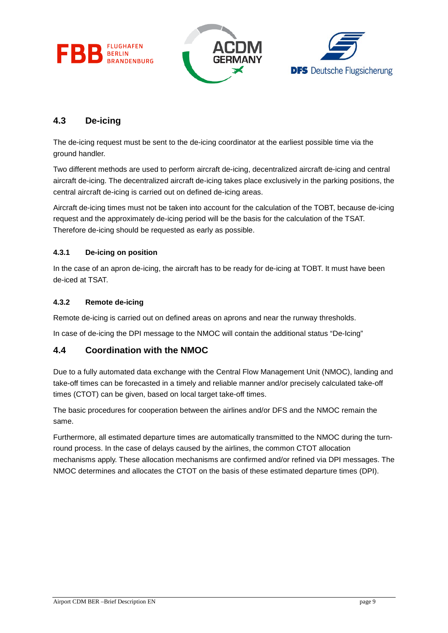





## <span id="page-8-0"></span>**4.3 De-icing**

The de-icing request must be sent to the de-icing coordinator at the earliest possible time via the ground handler.

Two different methods are used to perform aircraft de-icing, decentralized aircraft de-icing and central aircraft de-icing. The decentralized aircraft de-icing takes place exclusively in the parking positions, the central aircraft de-icing is carried out on defined de-icing areas.

Aircraft de-icing times must not be taken into account for the calculation of the TOBT, because de-icing request and the approximately de-icing period will be the basis for the calculation of the TSAT. Therefore de-icing should be requested as early as possible.

#### <span id="page-8-1"></span>**4.3.1 De-icing on position**

In the case of an apron de-icing, the aircraft has to be ready for de-icing at TOBT. It must have been de-iced at TSAT.

#### <span id="page-8-2"></span>**4.3.2 Remote de-icing**

Remote de-icing is carried out on defined areas on aprons and near the runway thresholds.

In case of de-icing the DPI message to the NMOC will contain the additional status "De-Icing"

### <span id="page-8-3"></span>**4.4 Coordination with the NMOC**

Due to a fully automated data exchange with the Central Flow Management Unit (NMOC), landing and take-off times can be forecasted in a timely and reliable manner and/or precisely calculated take-off times (CTOT) can be given, based on local target take-off times.

The basic procedures for cooperation between the airlines and/or DFS and the NMOC remain the same.

Furthermore, all estimated departure times are automatically transmitted to the NMOC during the turnround process. In the case of delays caused by the airlines, the common CTOT allocation mechanisms apply. These allocation mechanisms are confirmed and/or refined via DPI messages. The NMOC determines and allocates the CTOT on the basis of these estimated departure times (DPI).